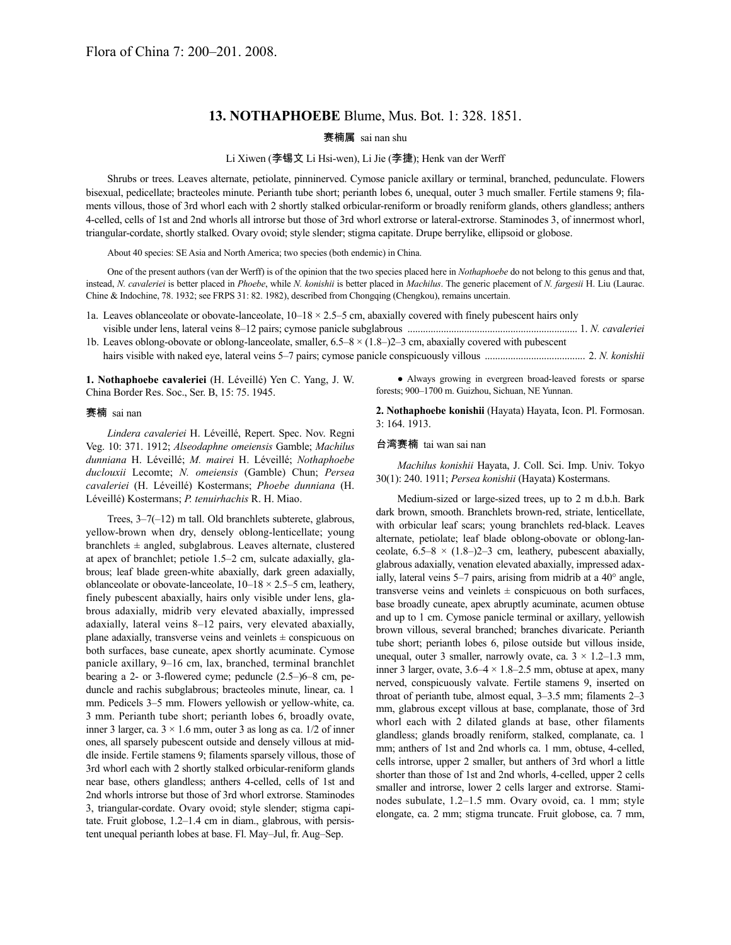## **13. NOTHAPHOEBE** Blume, Mus. Bot. 1: 328. 1851.

### 赛楠属 sai nan shu

#### Li Xiwen (李锡文 Li Hsi-wen), Li Jie (李捷); Henk van der Werff

Shrubs or trees. Leaves alternate, petiolate, pinninerved. Cymose panicle axillary or terminal, branched, pedunculate. Flowers bisexual, pedicellate; bracteoles minute. Perianth tube short; perianth lobes 6, unequal, outer 3 much smaller. Fertile stamens 9; filaments villous, those of 3rd whorl each with 2 shortly stalked orbicular-reniform or broadly reniform glands, others glandless; anthers 4-celled, cells of 1st and 2nd whorls all introrse but those of 3rd whorl extrorse or lateral-extrorse. Staminodes 3, of innermost whorl, triangular-cordate, shortly stalked. Ovary ovoid; style slender; stigma capitate. Drupe berrylike, ellipsoid or globose.

About 40 species: SE Asia and North America; two species (both endemic) in China.

One of the present authors (van der Werff) is of the opinion that the two species placed here in *Nothaphoebe* do not belong to this genus and that, instead, *N. cavaleriei* is better placed in *Phoebe*, while *N. konishii* is better placed in *Machilus*. The generic placement of *N. fargesii* H. Liu (Laurac. Chine & Indochine, 78. 1932; see FRPS 31: 82. 1982), described from Chongqing (Chengkou), remains uncertain.

1a. Leaves oblanceolate or obovate-lanceolate,  $10-18 \times 2.5=5$  cm, abaxially covered with finely pubescent hairs only

visible under lens, lateral veins 8–12 pairs; cymose panicle subglabrous .................................................................. 1. *N. cavaleriei* 1b. Leaves oblong-obovate or oblong-lanceolate, smaller,  $6.5-8 \times (1.8-2)$  cm, abaxially covered with pubescent

hairs visible with naked eye, lateral veins 5–7 pairs; cymose panicle conspicuously villous ....................................... 2. *N. konishii*

**1. Nothaphoebe cavaleriei** (H. Léveillé) Yen C. Yang, J. W. China Border Res. Soc., Ser. B, 15: 75. 1945.

#### 赛楠 sai nan

*Lindera cavaleriei* H. Léveillé, Repert. Spec. Nov. Regni Veg. 10: 371. 1912; *Alseodaphne omeiensis* Gamble; *Machilus dunniana* H. Léveillé; *M. mairei* H. Léveillé; *Nothaphoebe duclouxii* Lecomte; *N. omeiensis* (Gamble) Chun; *Persea cavaleriei* (H. Léveillé) Kostermans; *Phoebe dunniana* (H. Léveillé) Kostermans; *P. tenuirhachis* R. H. Miao.

Trees, 3–7(–12) m tall. Old branchlets subterete, glabrous, yellow-brown when dry, densely oblong-lenticellate; young branchlets  $\pm$  angled, subglabrous. Leaves alternate, clustered at apex of branchlet; petiole 1.5–2 cm, sulcate adaxially, glabrous; leaf blade green-white abaxially, dark green adaxially, oblanceolate or obovate-lanceolate, 10–18 × 2.5–5 cm, leathery, finely pubescent abaxially, hairs only visible under lens, glabrous adaxially, midrib very elevated abaxially, impressed adaxially, lateral veins 8–12 pairs, very elevated abaxially, plane adaxially, transverse veins and veinlets  $\pm$  conspicuous on both surfaces, base cuneate, apex shortly acuminate. Cymose panicle axillary, 9–16 cm, lax, branched, terminal branchlet bearing a 2- or 3-flowered cyme; peduncle (2.5–)6–8 cm, peduncle and rachis subglabrous; bracteoles minute, linear, ca. 1 mm. Pedicels 3–5 mm. Flowers yellowish or yellow-white, ca. 3 mm. Perianth tube short; perianth lobes 6, broadly ovate, inner 3 larger, ca.  $3 \times 1.6$  mm, outer 3 as long as ca.  $1/2$  of inner ones, all sparsely pubescent outside and densely villous at middle inside. Fertile stamens 9; filaments sparsely villous, those of 3rd whorl each with 2 shortly stalked orbicular-reniform glands near base, others glandless; anthers 4-celled, cells of 1st and 2nd whorls introrse but those of 3rd whorl extrorse. Staminodes 3, triangular-cordate. Ovary ovoid; style slender; stigma capitate. Fruit globose, 1.2–1.4 cm in diam., glabrous, with persistent unequal perianth lobes at base. Fl. May–Jul, fr. Aug–Sep.

● Always growing in evergreen broad-leaved forests or sparse forests; 900–1700 m. Guizhou, Sichuan, NE Yunnan.

**2. Nothaphoebe konishii** (Hayata) Hayata, Icon. Pl. Formosan. 3: 164. 1913.

#### 台湾赛楠 tai wan sai nan

*Machilus konishii* Hayata, J. Coll. Sci. Imp. Univ. Tokyo 30(1): 240. 1911; *Persea konishii* (Hayata) Kostermans.

Medium-sized or large-sized trees, up to 2 m d.b.h. Bark dark brown, smooth. Branchlets brown-red, striate, lenticellate, with orbicular leaf scars; young branchlets red-black. Leaves alternate, petiolate; leaf blade oblong-obovate or oblong-lanceolate,  $6.5-8 \times (1.8-)2-3$  cm, leathery, pubescent abaxially, glabrous adaxially, venation elevated abaxially, impressed adaxially, lateral veins 5–7 pairs, arising from midrib at a 40° angle, transverse veins and veinlets  $\pm$  conspicuous on both surfaces, base broadly cuneate, apex abruptly acuminate, acumen obtuse and up to 1 cm. Cymose panicle terminal or axillary, yellowish brown villous, several branched; branches divaricate. Perianth tube short; perianth lobes 6, pilose outside but villous inside, unequal, outer 3 smaller, narrowly ovate, ca.  $3 \times 1.2 - 1.3$  mm, inner 3 larger, ovate,  $3.6-4 \times 1.8-2.5$  mm, obtuse at apex, many nerved, conspicuously valvate. Fertile stamens 9, inserted on throat of perianth tube, almost equal, 3–3.5 mm; filaments 2–3 mm, glabrous except villous at base, complanate, those of 3rd whorl each with 2 dilated glands at base, other filaments glandless; glands broadly reniform, stalked, complanate, ca. 1 mm; anthers of 1st and 2nd whorls ca. 1 mm, obtuse, 4-celled, cells introrse, upper 2 smaller, but anthers of 3rd whorl a little shorter than those of 1st and 2nd whorls, 4-celled, upper 2 cells smaller and introrse, lower 2 cells larger and extrorse. Staminodes subulate, 1.2–1.5 mm. Ovary ovoid, ca. 1 mm; style elongate, ca. 2 mm; stigma truncate. Fruit globose, ca. 7 mm,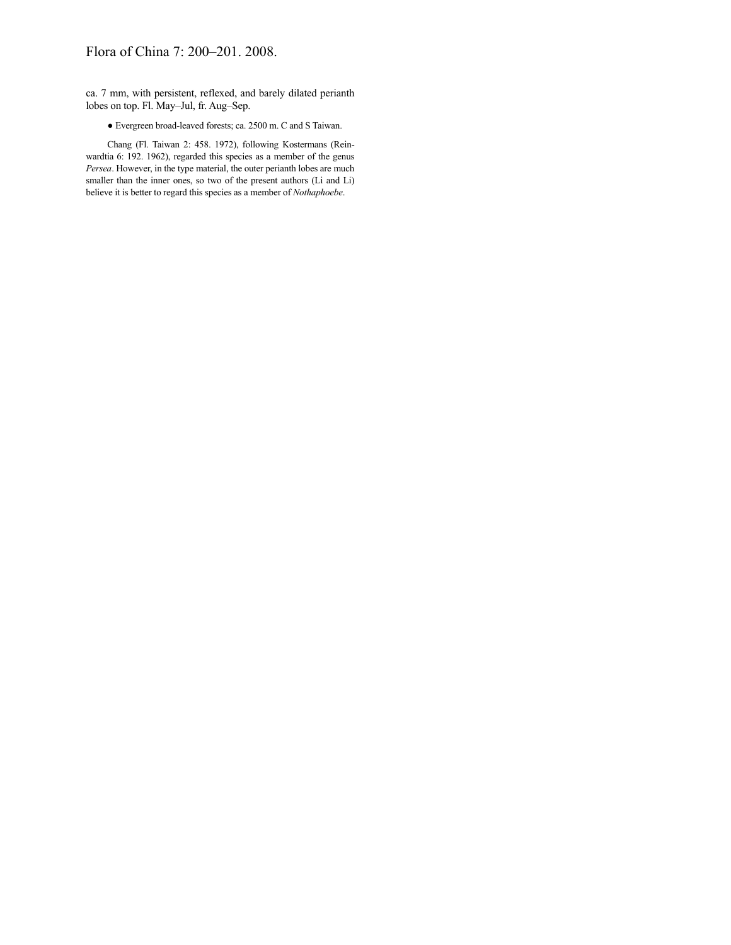# Flora of China 7: 200–201. 2008.

ca. 7 mm, with persistent, reflexed, and barely dilated perianth lobes on top. Fl. May–Jul, fr. Aug–Sep.

● Evergreen broad-leaved forests; ca. 2500 m. C and S Taiwan.

Chang (Fl. Taiwan 2: 458. 1972), following Kostermans (Reinwardtia 6: 192. 1962), regarded this species as a member of the genus *Persea*. However, in the type material, the outer perianth lobes are much smaller than the inner ones, so two of the present authors (Li and Li) believe it is better to regard this species as a member of *Nothaphoebe*.